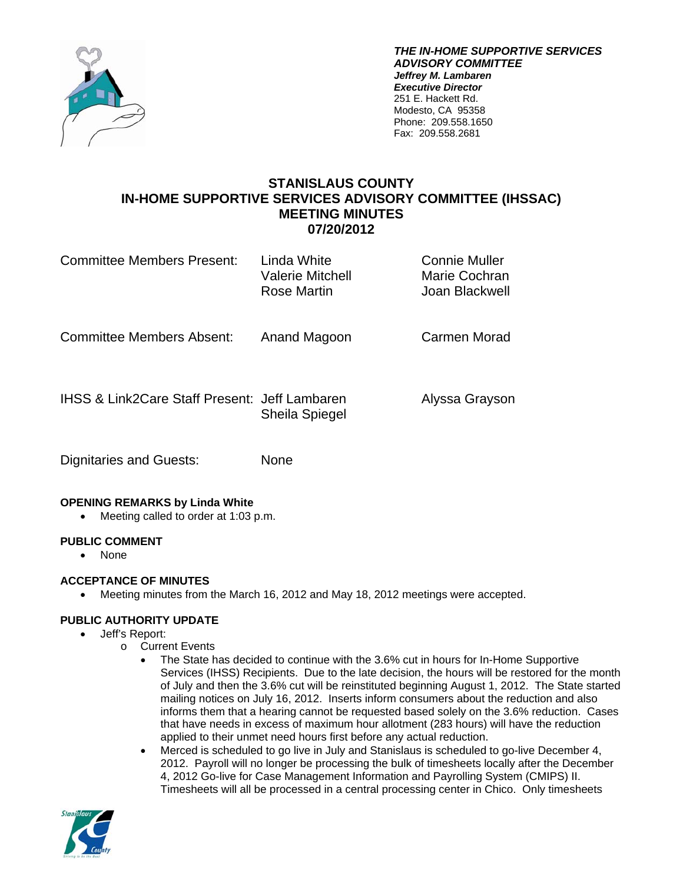

*THE IN-HOME SUPPORTIVE SERVICES ADVISORY COMMITTEE Jeffrey M. Lambaren Executive Director*  251 E. Hackett Rd. Modesto, CA 95358 Phone: 209.558.1650 Fax: 209.558.2681

# **STANISLAUS COUNTY IN-HOME SUPPORTIVE SERVICES ADVISORY COMMITTEE (IHSSAC) MEETING MINUTES 07/20/2012**

| Committee Members Present:                               | Linda White<br>Valerie Mitchell<br>Rose Martin | Connie Muller<br>Marie Cochran<br>Joan Blackwell |
|----------------------------------------------------------|------------------------------------------------|--------------------------------------------------|
| <b>Committee Members Absent:</b>                         | Anand Magoon                                   | Carmen Morad                                     |
| <b>IHSS &amp; Link2Care Staff Present: Jeff Lambaren</b> | <b>Sheila Spiegel</b>                          | Alyssa Grayson                                   |
| Dignitaries and Guests:                                  | None                                           |                                                  |

#### **OPENING REMARKS by Linda White**

Meeting called to order at 1:03 p.m.

#### **PUBLIC COMMENT**

• None

# **ACCEPTANCE OF MINUTES**

Meeting minutes from the March 16, 2012 and May 18, 2012 meetings were accepted.

# **PUBLIC AUTHORITY UPDATE**

- Jeff's Report:
	- o Current Events
		- The State has decided to continue with the 3.6% cut in hours for In-Home Supportive Services (IHSS) Recipients. Due to the late decision, the hours will be restored for the month of July and then the 3.6% cut will be reinstituted beginning August 1, 2012. The State started mailing notices on July 16, 2012. Inserts inform consumers about the reduction and also informs them that a hearing cannot be requested based solely on the 3.6% reduction. Cases that have needs in excess of maximum hour allotment (283 hours) will have the reduction applied to their unmet need hours first before any actual reduction.
		- Merced is scheduled to go live in July and Stanislaus is scheduled to go-live December 4, 2012. Payroll will no longer be processing the bulk of timesheets locally after the December 4, 2012 Go-live for Case Management Information and Payrolling System (CMIPS) II. Timesheets will all be processed in a central processing center in Chico. Only timesheets

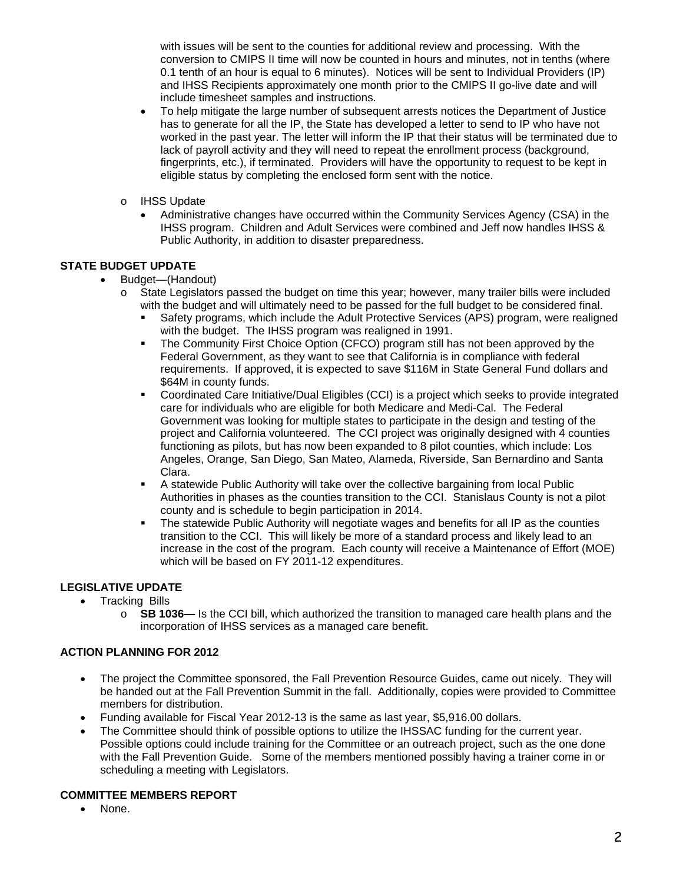with issues will be sent to the counties for additional review and processing. With the conversion to CMIPS II time will now be counted in hours and minutes, not in tenths (where 0.1 tenth of an hour is equal to 6 minutes). Notices will be sent to Individual Providers (IP) and IHSS Recipients approximately one month prior to the CMIPS II go-live date and will include timesheet samples and instructions.

- To help mitigate the large number of subsequent arrests notices the Department of Justice has to generate for all the IP, the State has developed a letter to send to IP who have not worked in the past year. The letter will inform the IP that their status will be terminated due to lack of payroll activity and they will need to repeat the enrollment process (background, fingerprints, etc.), if terminated. Providers will have the opportunity to request to be kept in eligible status by completing the enclosed form sent with the notice.
- o IHSS Update
	- Administrative changes have occurred within the Community Services Agency (CSA) in the IHSS program. Children and Adult Services were combined and Jeff now handles IHSS & Public Authority, in addition to disaster preparedness.

### **STATE BUDGET UPDATE**

- Budget—(Handout)
	- o State Legislators passed the budget on time this year; however, many trailer bills were included with the budget and will ultimately need to be passed for the full budget to be considered final.
		- Safety programs, which include the Adult Protective Services (APS) program, were realigned with the budget. The IHSS program was realigned in 1991.
		- The Community First Choice Option (CFCO) program still has not been approved by the Federal Government, as they want to see that California is in compliance with federal requirements. If approved, it is expected to save \$116M in State General Fund dollars and \$64M in county funds.
		- Coordinated Care Initiative/Dual Eligibles (CCI) is a project which seeks to provide integrated care for individuals who are eligible for both Medicare and Medi-Cal. The Federal Government was looking for multiple states to participate in the design and testing of the project and California volunteered. The CCI project was originally designed with 4 counties functioning as pilots, but has now been expanded to 8 pilot counties, which include: Los Angeles, Orange, San Diego, San Mateo, Alameda, Riverside, San Bernardino and Santa Clara.
		- A statewide Public Authority will take over the collective bargaining from local Public Authorities in phases as the counties transition to the CCI. Stanislaus County is not a pilot county and is schedule to begin participation in 2014.
		- The statewide Public Authority will negotiate wages and benefits for all IP as the counties transition to the CCI. This will likely be more of a standard process and likely lead to an increase in the cost of the program. Each county will receive a Maintenance of Effort (MOE) which will be based on FY 2011-12 expenditures.

#### **LEGISLATIVE UPDATE**

- Tracking Bills
	- o **SB 1036—** Is the CCI bill, which authorized the transition to managed care health plans and the incorporation of IHSS services as a managed care benefit.

#### **ACTION PLANNING FOR 2012**

- The project the Committee sponsored, the Fall Prevention Resource Guides, came out nicely. They will be handed out at the Fall Prevention Summit in the fall. Additionally, copies were provided to Committee members for distribution.
- Funding available for Fiscal Year 2012-13 is the same as last year, \$5,916.00 dollars.
- The Committee should think of possible options to utilize the IHSSAC funding for the current year. Possible options could include training for the Committee or an outreach project, such as the one done with the Fall Prevention Guide. Some of the members mentioned possibly having a trainer come in or scheduling a meeting with Legislators.

#### **COMMITTEE MEMBERS REPORT**

• None.